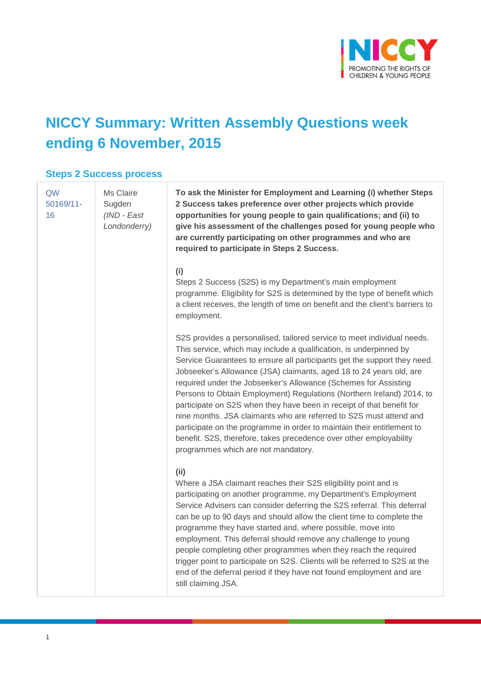

# **NICCY Summary: Written Assembly Questions week ending 6 November, 2015**

#### **Steps 2 Success process**

| QW<br>$50169/11$ -<br>16 | Ms Claire<br>Sugden<br>(IND - East<br>Londonderry) | To ask the Minister for Employment and Learning (i) whether Steps<br>2 Success takes preference over other projects which provide<br>opportunities for young people to gain qualifications; and (ii) to<br>give his assessment of the challenges posed for young people who<br>are currently participating on other programmes and who are<br>required to participate in Steps 2 Success.                                                                                                                                                                                                                                                                                                                                                                                          |
|--------------------------|----------------------------------------------------|------------------------------------------------------------------------------------------------------------------------------------------------------------------------------------------------------------------------------------------------------------------------------------------------------------------------------------------------------------------------------------------------------------------------------------------------------------------------------------------------------------------------------------------------------------------------------------------------------------------------------------------------------------------------------------------------------------------------------------------------------------------------------------|
|                          |                                                    | (i)<br>Steps 2 Success (S2S) is my Department's main employment<br>programme. Eligibility for S2S is determined by the type of benefit which<br>a client receives, the length of time on benefit and the client's barriers to<br>employment.                                                                                                                                                                                                                                                                                                                                                                                                                                                                                                                                       |
|                          |                                                    | S2S provides a personalised, tailored service to meet individual needs.<br>This service, which may include a qualification, is underpinned by<br>Service Guarantees to ensure all participants get the support they need.<br>Jobseeker's Allowance (JSA) claimants, aged 18 to 24 years old, are<br>required under the Jobseeker's Allowance (Schemes for Assisting<br>Persons to Obtain Employment) Regulations (Northern Ireland) 2014, to<br>participate on S2S when they have been in receipt of that benefit for<br>nine months. JSA claimants who are referred to S2S must attend and<br>participate on the programme in order to maintain their entitlement to<br>benefit. S2S, therefore, takes precedence over other employability<br>programmes which are not mandatory. |
|                          |                                                    | (ii)<br>Where a JSA claimant reaches their S2S eligibility point and is<br>participating on another programme, my Department's Employment<br>Service Advisers can consider deferring the S2S referral. This deferral<br>can be up to 90 days and should allow the client time to complete the<br>programme they have started and, where possible, move into<br>employment. This deferral should remove any challenge to young<br>people completing other programmes when they reach the required<br>trigger point to participate on S2S. Clients will be referred to S2S at the<br>end of the deferral period if they have not found employment and are<br>still claiming JSA.                                                                                                     |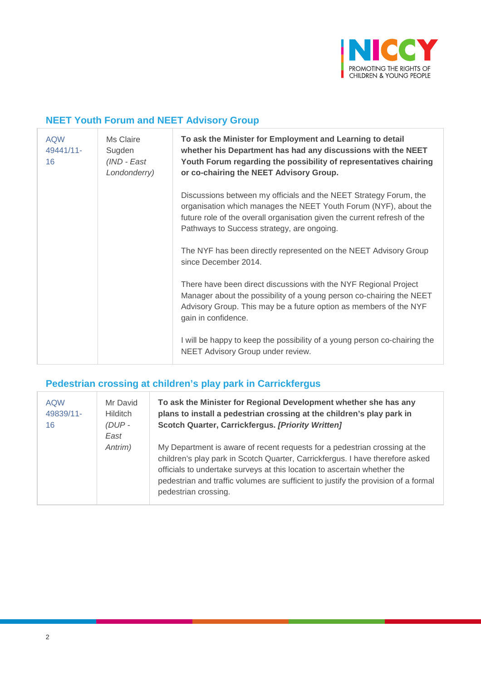

## **NEET Youth Forum and NEET Advisory Group**

| <b>AQW</b><br>49441/11-<br>16 | Ms Claire<br>Sugden<br>(IND - East<br>Londonderry) | To ask the Minister for Employment and Learning to detail<br>whether his Department has had any discussions with the NEET<br>Youth Forum regarding the possibility of representatives chairing<br>or co-chairing the NEET Advisory Group.                       |
|-------------------------------|----------------------------------------------------|-----------------------------------------------------------------------------------------------------------------------------------------------------------------------------------------------------------------------------------------------------------------|
|                               |                                                    | Discussions between my officials and the NEET Strategy Forum, the<br>organisation which manages the NEET Youth Forum (NYF), about the<br>future role of the overall organisation given the current refresh of the<br>Pathways to Success strategy, are ongoing. |
|                               |                                                    | The NYF has been directly represented on the NEET Advisory Group<br>since December 2014.                                                                                                                                                                        |
|                               |                                                    | There have been direct discussions with the NYF Regional Project<br>Manager about the possibility of a young person co-chairing the NEET<br>Advisory Group. This may be a future option as members of the NYF<br>gain in confidence.                            |
|                               |                                                    | I will be happy to keep the possibility of a young person co-chairing the<br>NEET Advisory Group under review.                                                                                                                                                  |

#### **Pedestrian crossing at children's play park in Carrickfergus**

| <b>AQW</b><br>49839/11-<br>16 | Mr David<br><b>Hilditch</b><br>$(DUP -$<br>East | To ask the Minister for Regional Development whether she has any<br>plans to install a pedestrian crossing at the children's play park in<br>Scotch Quarter, Carrickfergus. [Priority Written]                                                                                                                                                        |
|-------------------------------|-------------------------------------------------|-------------------------------------------------------------------------------------------------------------------------------------------------------------------------------------------------------------------------------------------------------------------------------------------------------------------------------------------------------|
|                               | Antrim)                                         | My Department is aware of recent requests for a pedestrian crossing at the<br>children's play park in Scotch Quarter, Carrickfergus. I have therefore asked<br>officials to undertake surveys at this location to ascertain whether the<br>pedestrian and traffic volumes are sufficient to justify the provision of a formal<br>pedestrian crossing. |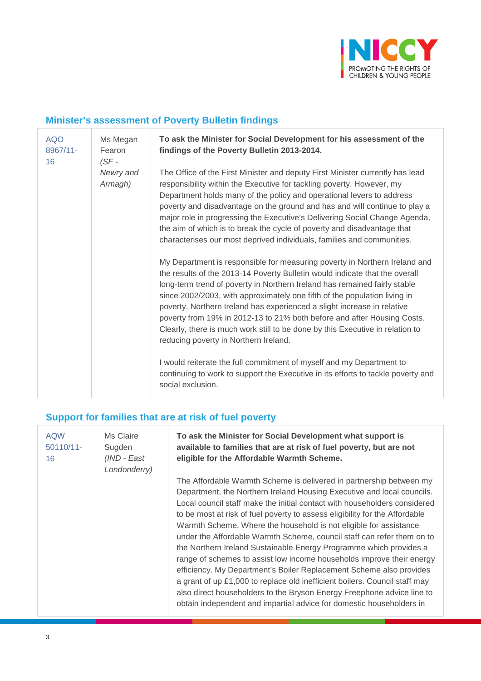

## **Minister's assessment of Poverty Bulletin findings**

| <b>AQO</b><br>8967/11-<br>16 | Ms Megan<br>Fearon<br>$(SF -$ | To ask the Minister for Social Development for his assessment of the<br>findings of the Poverty Bulletin 2013-2014.                                                                                                                                                                                                                                                                                                                                                                                                                                                                                 |
|------------------------------|-------------------------------|-----------------------------------------------------------------------------------------------------------------------------------------------------------------------------------------------------------------------------------------------------------------------------------------------------------------------------------------------------------------------------------------------------------------------------------------------------------------------------------------------------------------------------------------------------------------------------------------------------|
|                              | Newry and<br>Armagh)          | The Office of the First Minister and deputy First Minister currently has lead<br>responsibility within the Executive for tackling poverty. However, my<br>Department holds many of the policy and operational levers to address<br>poverty and disadvantage on the ground and has and will continue to play a<br>major role in progressing the Executive's Delivering Social Change Agenda,<br>the aim of which is to break the cycle of poverty and disadvantage that<br>characterises our most deprived individuals, families and communities.                                                    |
|                              |                               | My Department is responsible for measuring poverty in Northern Ireland and<br>the results of the 2013-14 Poverty Bulletin would indicate that the overall<br>long-term trend of poverty in Northern Ireland has remained fairly stable<br>since 2002/2003, with approximately one fifth of the population living in<br>poverty. Northern Ireland has experienced a slight increase in relative<br>poverty from 19% in 2012-13 to 21% both before and after Housing Costs.<br>Clearly, there is much work still to be done by this Executive in relation to<br>reducing poverty in Northern Ireland. |
|                              |                               | I would reiterate the full commitment of myself and my Department to<br>continuing to work to support the Executive in its efforts to tackle poverty and<br>social exclusion.                                                                                                                                                                                                                                                                                                                                                                                                                       |

# **Support for families that are at risk of fuel poverty**

| <b>AQW</b><br>$50110/11$ -<br>16 | Ms Claire<br>Sugden<br>(IND - East<br>Londonderry) | To ask the Minister for Social Development what support is<br>available to families that are at risk of fuel poverty, but are not<br>eligible for the Affordable Warmth Scheme.                                                                                                                                                                                                                                                                                                                                                                                                                                                                                                                                                                                                                                                                                                                                |
|----------------------------------|----------------------------------------------------|----------------------------------------------------------------------------------------------------------------------------------------------------------------------------------------------------------------------------------------------------------------------------------------------------------------------------------------------------------------------------------------------------------------------------------------------------------------------------------------------------------------------------------------------------------------------------------------------------------------------------------------------------------------------------------------------------------------------------------------------------------------------------------------------------------------------------------------------------------------------------------------------------------------|
|                                  |                                                    | The Affordable Warmth Scheme is delivered in partnership between my<br>Department, the Northern Ireland Housing Executive and local councils.<br>Local council staff make the initial contact with householders considered<br>to be most at risk of fuel poverty to assess eligibility for the Affordable<br>Warmth Scheme. Where the household is not eligible for assistance<br>under the Affordable Warmth Scheme, council staff can refer them on to<br>the Northern Ireland Sustainable Energy Programme which provides a<br>range of schemes to assist low income households improve their energy<br>efficiency. My Department's Boiler Replacement Scheme also provides<br>a grant of up £1,000 to replace old inefficient boilers. Council staff may<br>also direct householders to the Bryson Energy Freephone advice line to<br>obtain independent and impartial advice for domestic householders in |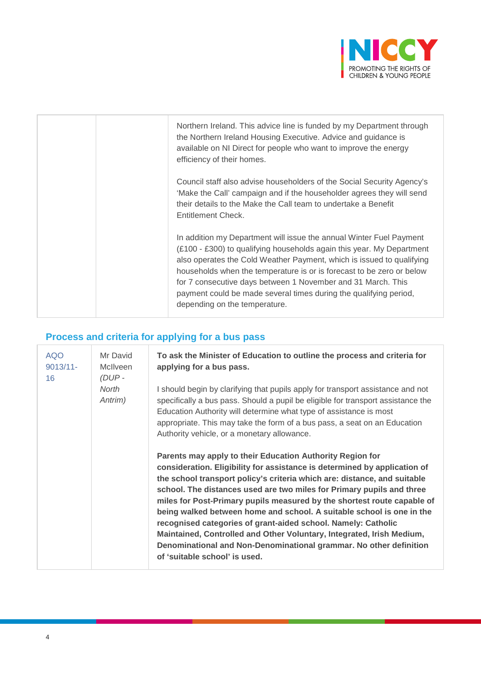

| Northern Ireland. This advice line is funded by my Department through<br>the Northern Ireland Housing Executive. Advice and guidance is<br>available on NI Direct for people who want to improve the energy<br>efficiency of their homes.                                                                                                                                                                                                                            |
|----------------------------------------------------------------------------------------------------------------------------------------------------------------------------------------------------------------------------------------------------------------------------------------------------------------------------------------------------------------------------------------------------------------------------------------------------------------------|
| Council staff also advise householders of the Social Security Agency's<br>'Make the Call' campaign and if the householder agrees they will send<br>their details to the Make the Call team to undertake a Benefit<br><b>Entitlement Check.</b>                                                                                                                                                                                                                       |
| In addition my Department will issue the annual Winter Fuel Payment<br>(£100 - £300) to qualifying households again this year. My Department<br>also operates the Cold Weather Payment, which is issued to qualifying<br>households when the temperature is or is forecast to be zero or below<br>for 7 consecutive days between 1 November and 31 March. This<br>payment could be made several times during the qualifying period,<br>depending on the temperature. |

# **Process and criteria for applying for a bus pass**

| <b>AQO</b><br>$9013/11 -$<br>16 | Mr David<br><b>McIlveen</b><br>(DUP- | To ask the Minister of Education to outline the process and criteria for<br>applying for a bus pass.                                                                                                                                                                                                                                                                                                                                                                                                                                                                                                                                                                                             |
|---------------------------------|--------------------------------------|--------------------------------------------------------------------------------------------------------------------------------------------------------------------------------------------------------------------------------------------------------------------------------------------------------------------------------------------------------------------------------------------------------------------------------------------------------------------------------------------------------------------------------------------------------------------------------------------------------------------------------------------------------------------------------------------------|
|                                 | North<br>Antrim)                     | I should begin by clarifying that pupils apply for transport assistance and not<br>specifically a bus pass. Should a pupil be eligible for transport assistance the<br>Education Authority will determine what type of assistance is most<br>appropriate. This may take the form of a bus pass, a seat on an Education<br>Authority vehicle, or a monetary allowance.                                                                                                                                                                                                                                                                                                                            |
|                                 |                                      | Parents may apply to their Education Authority Region for<br>consideration. Eligibility for assistance is determined by application of<br>the school transport policy's criteria which are: distance, and suitable<br>school. The distances used are two miles for Primary pupils and three<br>miles for Post-Primary pupils measured by the shortest route capable of<br>being walked between home and school. A suitable school is one in the<br>recognised categories of grant-aided school. Namely: Catholic<br>Maintained, Controlled and Other Voluntary, Integrated, Irish Medium,<br>Denominational and Non-Denominational grammar. No other definition<br>of 'suitable school' is used. |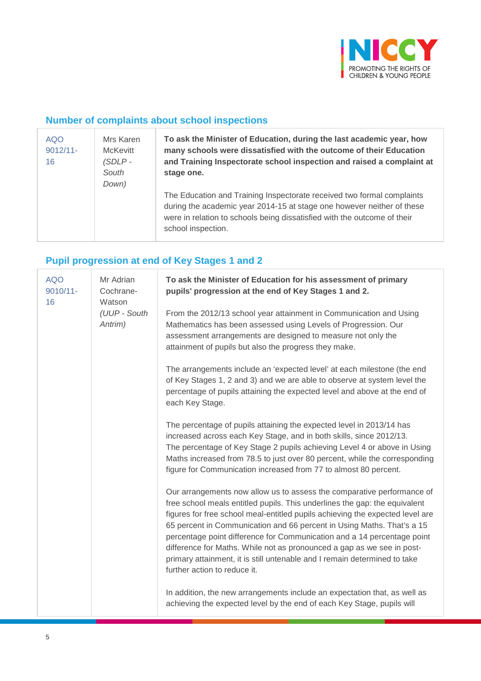

## **Number of complaints about school inspections**

| <b>AQO</b><br>$9012/11 -$<br>16 | Mrs Karen<br><b>McKevitt</b><br>$(SDLP -$<br>South<br>Down) | To ask the Minister of Education, during the last academic year, how<br>many schools were dissatisfied with the outcome of their Education<br>and Training Inspectorate school inspection and raised a complaint at<br>stage one.                  |
|---------------------------------|-------------------------------------------------------------|----------------------------------------------------------------------------------------------------------------------------------------------------------------------------------------------------------------------------------------------------|
|                                 |                                                             | The Education and Training Inspectorate received two formal complaints<br>during the academic year 2014-15 at stage one however neither of these<br>were in relation to schools being dissatisfied with the outcome of their<br>school inspection. |

#### **Pupil progression at end of Key Stages 1 and 2**

| <b>AQO</b><br>9010/11-<br>16 | Mr Adrian<br>Cochrane-<br>Watson | To ask the Minister of Education for his assessment of primary<br>pupils' progression at the end of Key Stages 1 and 2.                                                                                                                                                                                                                                                                                                                                                                                                                                                           |
|------------------------------|----------------------------------|-----------------------------------------------------------------------------------------------------------------------------------------------------------------------------------------------------------------------------------------------------------------------------------------------------------------------------------------------------------------------------------------------------------------------------------------------------------------------------------------------------------------------------------------------------------------------------------|
|                              | (UUP - South<br>Antrim)          | From the 2012/13 school year attainment in Communication and Using<br>Mathematics has been assessed using Levels of Progression. Our<br>assessment arrangements are designed to measure not only the<br>attainment of pupils but also the progress they make.                                                                                                                                                                                                                                                                                                                     |
|                              |                                  | The arrangements include an 'expected level' at each milestone (the end<br>of Key Stages 1, 2 and 3) and we are able to observe at system level the<br>percentage of pupils attaining the expected level and above at the end of<br>each Key Stage.                                                                                                                                                                                                                                                                                                                               |
|                              |                                  | The percentage of pupils attaining the expected level in 2013/14 has<br>increased across each Key Stage, and in both skills, since 2012/13.<br>The percentage of Key Stage 2 pupils achieving Level 4 or above in Using<br>Maths increased from 78.5 to just over 80 percent, while the corresponding<br>figure for Communication increased from 77 to almost 80 percent.                                                                                                                                                                                                         |
|                              |                                  | Our arrangements now allow us to assess the comparative performance of<br>free school meals entitled pupils. This underlines the gap: the equivalent<br>figures for free school meal-entitled pupils achieving the expected level are<br>65 percent in Communication and 66 percent in Using Maths. That's a 15<br>percentage point difference for Communication and a 14 percentage point<br>difference for Maths. While not as pronounced a gap as we see in post-<br>primary attainment, it is still untenable and I remain determined to take<br>further action to reduce it. |
|                              |                                  | In addition, the new arrangements include an expectation that, as well as<br>achieving the expected level by the end of each Key Stage, pupils will                                                                                                                                                                                                                                                                                                                                                                                                                               |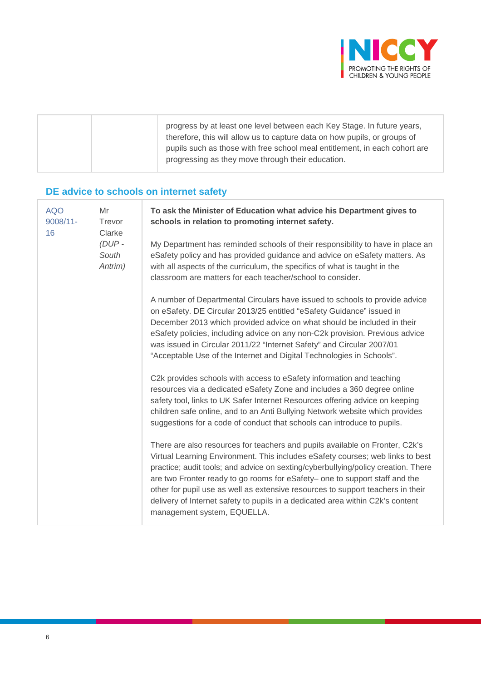

|  | progress by at least one level between each Key Stage. In future years,<br>therefore, this will allow us to capture data on how pupils, or groups of<br>pupils such as those with free school meal entitlement, in each cohort are<br>progressing as they move through their education. |
|--|-----------------------------------------------------------------------------------------------------------------------------------------------------------------------------------------------------------------------------------------------------------------------------------------|
|  |                                                                                                                                                                                                                                                                                         |

# **DE advice to schools on internet safety**

| <b>AQO</b><br>$9008/11 -$<br>16 | Mr<br>Trevor<br>Clarke<br>$(DUP -$<br>South<br>Antrim) | To ask the Minister of Education what advice his Department gives to<br>schools in relation to promoting internet safety.                                                                                                                                                                                                                                                                                                                                                                                                              |
|---------------------------------|--------------------------------------------------------|----------------------------------------------------------------------------------------------------------------------------------------------------------------------------------------------------------------------------------------------------------------------------------------------------------------------------------------------------------------------------------------------------------------------------------------------------------------------------------------------------------------------------------------|
|                                 |                                                        | My Department has reminded schools of their responsibility to have in place an<br>eSafety policy and has provided guidance and advice on eSafety matters. As<br>with all aspects of the curriculum, the specifics of what is taught in the<br>classroom are matters for each teacher/school to consider.                                                                                                                                                                                                                               |
|                                 |                                                        | A number of Departmental Circulars have issued to schools to provide advice<br>on eSafety. DE Circular 2013/25 entitled "eSafety Guidance" issued in<br>December 2013 which provided advice on what should be included in their<br>eSafety policies, including advice on any non-C2k provision. Previous advice<br>was issued in Circular 2011/22 "Internet Safety" and Circular 2007/01<br>"Acceptable Use of the Internet and Digital Technologies in Schools".                                                                      |
|                                 |                                                        | C2k provides schools with access to eSafety information and teaching<br>resources via a dedicated eSafety Zone and includes a 360 degree online<br>safety tool, links to UK Safer Internet Resources offering advice on keeping<br>children safe online, and to an Anti Bullying Network website which provides<br>suggestions for a code of conduct that schools can introduce to pupils.                                                                                                                                             |
|                                 |                                                        | There are also resources for teachers and pupils available on Fronter, C2k's<br>Virtual Learning Environment. This includes eSafety courses; web links to best<br>practice; audit tools; and advice on sexting/cyberbullying/policy creation. There<br>are two Fronter ready to go rooms for eSafety- one to support staff and the<br>other for pupil use as well as extensive resources to support teachers in their<br>delivery of Internet safety to pupils in a dedicated area within C2k's content<br>management system, EQUELLA. |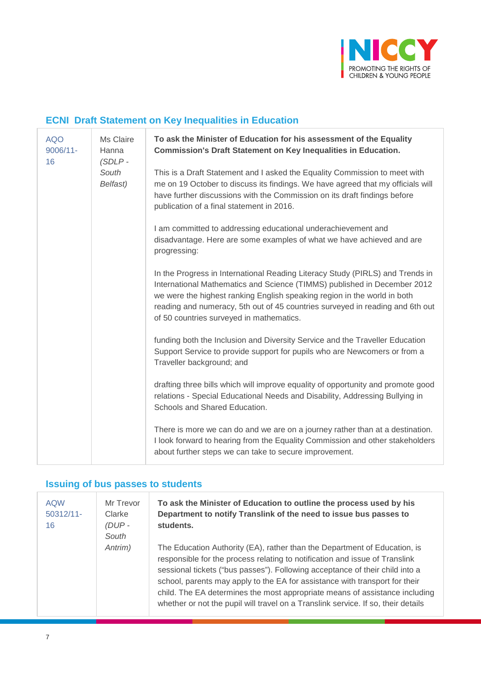

## **ECNI Draft Statement on Key Inequalities in Education**

| <b>AQO</b><br>$9006/11 -$<br>16 | Ms Claire<br>Hanna<br>$(SDLP -$<br>South<br>Belfast) | To ask the Minister of Education for his assessment of the Equality<br><b>Commission's Draft Statement on Key Inequalities in Education.</b>                                                                                                                                                                                                                       |
|---------------------------------|------------------------------------------------------|--------------------------------------------------------------------------------------------------------------------------------------------------------------------------------------------------------------------------------------------------------------------------------------------------------------------------------------------------------------------|
|                                 |                                                      | This is a Draft Statement and I asked the Equality Commission to meet with<br>me on 19 October to discuss its findings. We have agreed that my officials will<br>have further discussions with the Commission on its draft findings before<br>publication of a final statement in 2016.                                                                            |
|                                 |                                                      | I am committed to addressing educational underachievement and<br>disadvantage. Here are some examples of what we have achieved and are<br>progressing:                                                                                                                                                                                                             |
|                                 |                                                      | In the Progress in International Reading Literacy Study (PIRLS) and Trends in<br>International Mathematics and Science (TIMMS) published in December 2012<br>we were the highest ranking English speaking region in the world in both<br>reading and numeracy, 5th out of 45 countries surveyed in reading and 6th out<br>of 50 countries surveyed in mathematics. |
|                                 |                                                      | funding both the Inclusion and Diversity Service and the Traveller Education<br>Support Service to provide support for pupils who are Newcomers or from a<br>Traveller background; and                                                                                                                                                                             |
|                                 |                                                      | drafting three bills which will improve equality of opportunity and promote good<br>relations - Special Educational Needs and Disability, Addressing Bullying in<br>Schools and Shared Education.                                                                                                                                                                  |
|                                 |                                                      | There is more we can do and we are on a journey rather than at a destination.<br>I look forward to hearing from the Equality Commission and other stakeholders<br>about further steps we can take to secure improvement.                                                                                                                                           |

#### **Issuing of bus passes to students**

| <b>AQW</b><br>$50312/11$ -<br>16 | Mr Trevor<br>Clarke<br>(DUP- | To ask the Minister of Education to outline the process used by his<br>Department to notify Translink of the need to issue bus passes to<br>students.                                                                                                                                                                                                                                                                                                                                       |
|----------------------------------|------------------------------|---------------------------------------------------------------------------------------------------------------------------------------------------------------------------------------------------------------------------------------------------------------------------------------------------------------------------------------------------------------------------------------------------------------------------------------------------------------------------------------------|
|                                  | South                        |                                                                                                                                                                                                                                                                                                                                                                                                                                                                                             |
|                                  | Antrim)                      | The Education Authority (EA), rather than the Department of Education, is<br>responsible for the process relating to notification and issue of Translink<br>sessional tickets ("bus passes"). Following acceptance of their child into a<br>school, parents may apply to the EA for assistance with transport for their<br>child. The EA determines the most appropriate means of assistance including<br>whether or not the pupil will travel on a Translink service. If so, their details |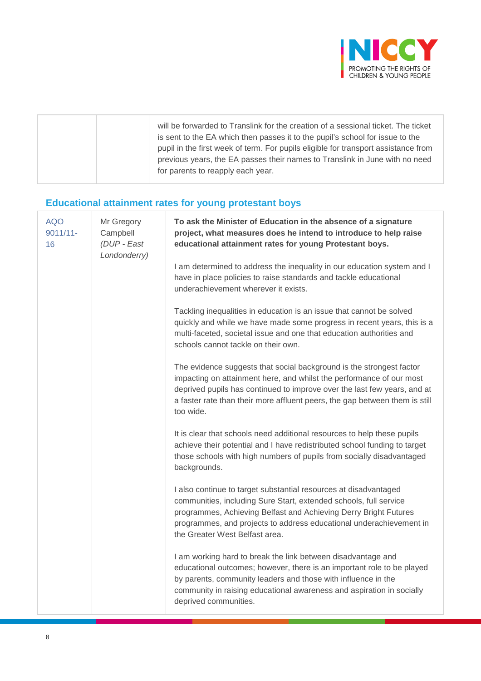

|  | will be forwarded to Translink for the creation of a sessional ticket. The ticket<br>is sent to the EA which then passes it to the pupil's school for issue to the<br>pupil in the first week of term. For pupils eligible for transport assistance from<br>previous years, the EA passes their names to Translink in June with no need<br>for parents to reapply each year. |
|--|------------------------------------------------------------------------------------------------------------------------------------------------------------------------------------------------------------------------------------------------------------------------------------------------------------------------------------------------------------------------------|
|--|------------------------------------------------------------------------------------------------------------------------------------------------------------------------------------------------------------------------------------------------------------------------------------------------------------------------------------------------------------------------------|

# **Educational attainment rates for young protestant boys**

| <b>AQO</b><br>$9011/11 -$<br>16 | Mr Gregory<br>Campbell<br>(DUP - East<br>Londonderry) | To ask the Minister of Education in the absence of a signature<br>project, what measures does he intend to introduce to help raise<br>educational attainment rates for young Protestant boys.                                                                                                                        |
|---------------------------------|-------------------------------------------------------|----------------------------------------------------------------------------------------------------------------------------------------------------------------------------------------------------------------------------------------------------------------------------------------------------------------------|
|                                 |                                                       | I am determined to address the inequality in our education system and I<br>have in place policies to raise standards and tackle educational<br>underachievement wherever it exists.                                                                                                                                  |
|                                 |                                                       | Tackling inequalities in education is an issue that cannot be solved<br>quickly and while we have made some progress in recent years, this is a<br>multi-faceted, societal issue and one that education authorities and<br>schools cannot tackle on their own.                                                       |
|                                 |                                                       | The evidence suggests that social background is the strongest factor<br>impacting on attainment here, and whilst the performance of our most<br>deprived pupils has continued to improve over the last few years, and at<br>a faster rate than their more affluent peers, the gap between them is still<br>too wide. |
|                                 |                                                       | It is clear that schools need additional resources to help these pupils<br>achieve their potential and I have redistributed school funding to target<br>those schools with high numbers of pupils from socially disadvantaged<br>backgrounds.                                                                        |
|                                 |                                                       | I also continue to target substantial resources at disadvantaged<br>communities, including Sure Start, extended schools, full service<br>programmes, Achieving Belfast and Achieving Derry Bright Futures<br>programmes, and projects to address educational underachievement in<br>the Greater West Belfast area.   |
|                                 |                                                       | I am working hard to break the link between disadvantage and<br>educational outcomes; however, there is an important role to be played<br>by parents, community leaders and those with influence in the<br>community in raising educational awareness and aspiration in socially<br>deprived communities.            |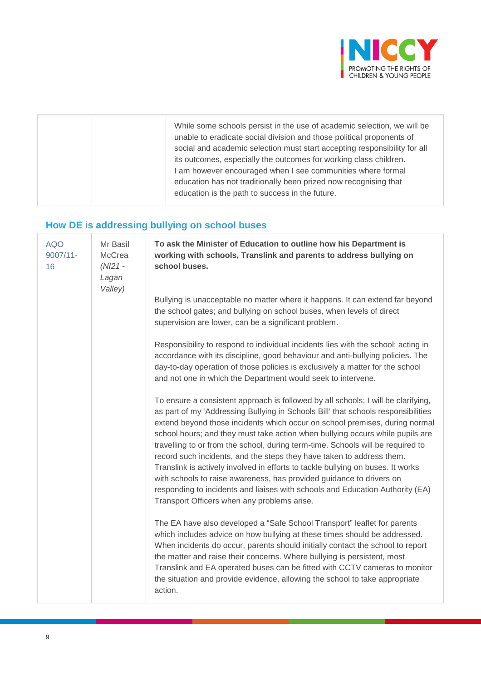

|  | While some schools persist in the use of academic selection, we will be<br>unable to eradicate social division and those political proponents of<br>social and academic selection must start accepting responsibility for all<br>its outcomes, especially the outcomes for working class children.<br>I am however encouraged when I see communities where formal<br>education has not traditionally been prized now recognising that<br>education is the path to success in the future. |
|--|------------------------------------------------------------------------------------------------------------------------------------------------------------------------------------------------------------------------------------------------------------------------------------------------------------------------------------------------------------------------------------------------------------------------------------------------------------------------------------------|
|  |                                                                                                                                                                                                                                                                                                                                                                                                                                                                                          |

# **How DE is addressing bullying on school buses**

| <b>AQO</b><br>9007/11-<br>16 | Mr Basil<br>McCrea<br>$(NI21 -$<br>Lagan<br>Valley) | To ask the Minister of Education to outline how his Department is<br>working with schools, Translink and parents to address bullying on<br>school buses.                                                                                                                                                                                                                                                                                                                                                                                                                                                                                                                                                                                                                                      |  |
|------------------------------|-----------------------------------------------------|-----------------------------------------------------------------------------------------------------------------------------------------------------------------------------------------------------------------------------------------------------------------------------------------------------------------------------------------------------------------------------------------------------------------------------------------------------------------------------------------------------------------------------------------------------------------------------------------------------------------------------------------------------------------------------------------------------------------------------------------------------------------------------------------------|--|
|                              |                                                     | Bullying is unacceptable no matter where it happens. It can extend far beyond<br>the school gates; and bullying on school buses, when levels of direct<br>supervision are lower, can be a significant problem.                                                                                                                                                                                                                                                                                                                                                                                                                                                                                                                                                                                |  |
|                              |                                                     | Responsibility to respond to individual incidents lies with the school; acting in<br>accordance with its discipline, good behaviour and anti-bullying policies. The<br>day-to-day operation of those policies is exclusively a matter for the school<br>and not one in which the Department would seek to intervene.                                                                                                                                                                                                                                                                                                                                                                                                                                                                          |  |
|                              |                                                     | To ensure a consistent approach is followed by all schools; I will be clarifying,<br>as part of my 'Addressing Bullying in Schools Bill' that schools responsibilities<br>extend beyond those incidents which occur on school premises, during normal<br>school hours; and they must take action when bullying occurs while pupils are<br>travelling to or from the school, during term-time. Schools will be required to<br>record such incidents, and the steps they have taken to address them.<br>Translink is actively involved in efforts to tackle bullying on buses. It works<br>with schools to raise awareness, has provided guidance to drivers on<br>responding to incidents and liaises with schools and Education Authority (EA)<br>Transport Officers when any problems arise. |  |
|                              |                                                     | The EA have also developed a "Safe School Transport" leaflet for parents<br>which includes advice on how bullying at these times should be addressed.<br>When incidents do occur, parents should initially contact the school to report<br>the matter and raise their concerns. Where bullying is persistent, most<br>Translink and EA operated buses can be fitted with CCTV cameras to monitor<br>the situation and provide evidence, allowing the school to take appropriate<br>action.                                                                                                                                                                                                                                                                                                    |  |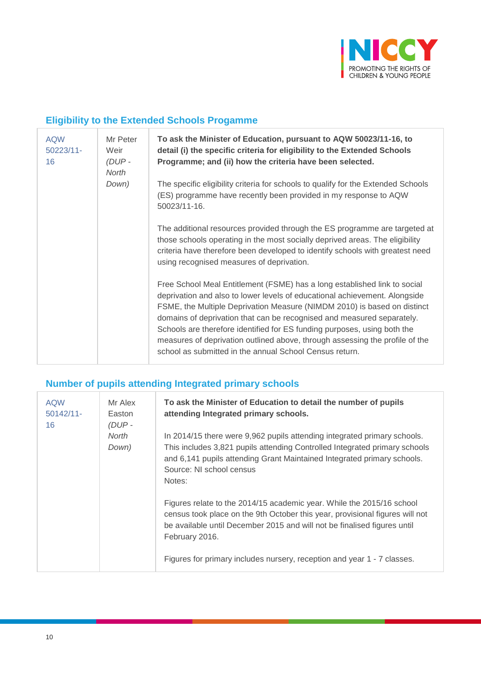

# **Eligibility to the Extended Schools Progamme**

| <b>AQW</b><br>$50223/11 -$<br>16 | Mr Peter<br>Weir<br>$(DUP -$<br>North | To ask the Minister of Education, pursuant to AQW 50023/11-16, to<br>detail (i) the specific criteria for eligibility to the Extended Schools<br>Programme; and (ii) how the criteria have been selected.                                                                                                                                                                                                                                                                                                                            |
|----------------------------------|---------------------------------------|--------------------------------------------------------------------------------------------------------------------------------------------------------------------------------------------------------------------------------------------------------------------------------------------------------------------------------------------------------------------------------------------------------------------------------------------------------------------------------------------------------------------------------------|
|                                  | Down)                                 | The specific eligibility criteria for schools to qualify for the Extended Schools<br>(ES) programme have recently been provided in my response to AQW<br>50023/11-16.                                                                                                                                                                                                                                                                                                                                                                |
|                                  |                                       | The additional resources provided through the ES programme are targeted at<br>those schools operating in the most socially deprived areas. The eligibility<br>criteria have therefore been developed to identify schools with greatest need<br>using recognised measures of deprivation.                                                                                                                                                                                                                                             |
|                                  |                                       | Free School Meal Entitlement (FSME) has a long established link to social<br>deprivation and also to lower levels of educational achievement. Alongside<br>FSME, the Multiple Deprivation Measure (NIMDM 2010) is based on distinct<br>domains of deprivation that can be recognised and measured separately.<br>Schools are therefore identified for ES funding purposes, using both the<br>measures of deprivation outlined above, through assessing the profile of the<br>school as submitted in the annual School Census return. |

#### **Number of pupils attending Integrated primary schools**

| <b>AQW</b><br>$50142/11$ -<br>16 | Mr Alex<br>Easton<br>$(DUP -$<br>North<br>Down) | To ask the Minister of Education to detail the number of pupils<br>attending Integrated primary schools.                                                                                                                                                                                                                       |
|----------------------------------|-------------------------------------------------|--------------------------------------------------------------------------------------------------------------------------------------------------------------------------------------------------------------------------------------------------------------------------------------------------------------------------------|
|                                  |                                                 | In 2014/15 there were 9,962 pupils attending integrated primary schools.<br>This includes 3,821 pupils attending Controlled Integrated primary schools<br>and 6,141 pupils attending Grant Maintained Integrated primary schools.<br>Source: NI school census<br>Notes:                                                        |
|                                  |                                                 | Figures relate to the 2014/15 academic year. While the 2015/16 school<br>census took place on the 9th October this year, provisional figures will not<br>be available until December 2015 and will not be finalised figures until<br>February 2016.<br>Figures for primary includes nursery, reception and year 1 - 7 classes. |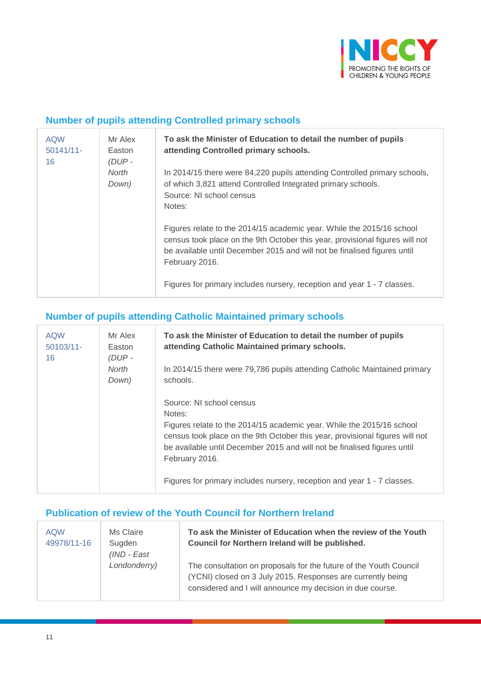

#### **Number of pupils attending Controlled primary schools**

| <b>AQW</b><br>$50141/11$ -<br>16 | Mr Alex<br>Easton<br>$(DUP -$<br>North<br>Down) | To ask the Minister of Education to detail the number of pupils<br>attending Controlled primary schools.                                                                                                                                            |
|----------------------------------|-------------------------------------------------|-----------------------------------------------------------------------------------------------------------------------------------------------------------------------------------------------------------------------------------------------------|
|                                  |                                                 | In 2014/15 there were 84,220 pupils attending Controlled primary schools,<br>of which 3,821 attend Controlled Integrated primary schools.<br>Source: NI school census<br>Notes:                                                                     |
|                                  |                                                 | Figures relate to the 2014/15 academic year. While the 2015/16 school<br>census took place on the 9th October this year, provisional figures will not<br>be available until December 2015 and will not be finalised figures until<br>February 2016. |
|                                  |                                                 | Figures for primary includes nursery, reception and year 1 - 7 classes.                                                                                                                                                                             |

## **Number of pupils attending Catholic Maintained primary schools**

| <b>AQW</b><br>$50103/11$ -<br>16 | Mr Alex<br>Easton<br>$(DUP -$<br>North<br>Down) | To ask the Minister of Education to detail the number of pupils<br>attending Catholic Maintained primary schools.                                                                                                                                                                         |
|----------------------------------|-------------------------------------------------|-------------------------------------------------------------------------------------------------------------------------------------------------------------------------------------------------------------------------------------------------------------------------------------------|
|                                  |                                                 | In 2014/15 there were 79,786 pupils attending Catholic Maintained primary<br>schools.                                                                                                                                                                                                     |
|                                  |                                                 | Source: NI school census<br>Notes:<br>Figures relate to the 2014/15 academic year. While the 2015/16 school<br>census took place on the 9th October this year, provisional figures will not<br>be available until December 2015 and will not be finalised figures until<br>February 2016. |
|                                  |                                                 | Figures for primary includes nursery, reception and year 1 - 7 classes.                                                                                                                                                                                                                   |

## **Publication of review of the Youth Council for Northern Ireland**

| <b>AQW</b><br>49978/11-16 | Ms Claire<br>Sugden<br>$(IND - East)$ | To ask the Minister of Education when the review of the Youth<br>Council for Northern Ireland will be published.                                                                              |
|---------------------------|---------------------------------------|-----------------------------------------------------------------------------------------------------------------------------------------------------------------------------------------------|
|                           | Londonderry)                          | The consultation on proposals for the future of the Youth Council<br>(YCNI) closed on 3 July 2015. Responses are currently being<br>considered and I will announce my decision in due course. |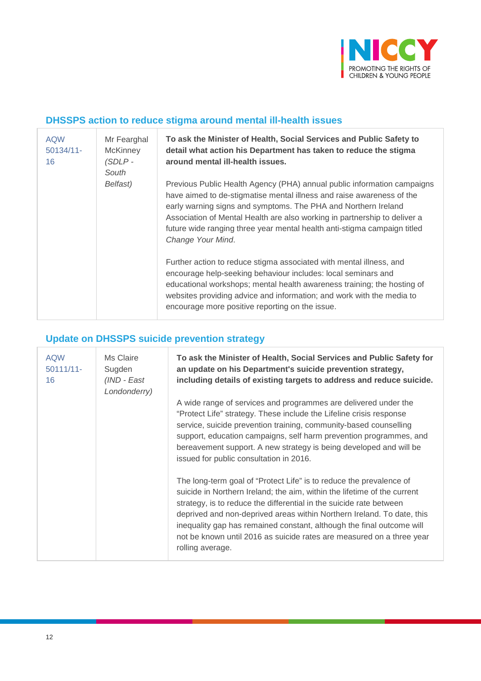

#### **DHSSPS action to reduce stigma around mental ill-health issues**

| <b>AQW</b><br>$50134/11 -$<br>16 | Mr Fearghal<br><b>McKinney</b><br>(SDLP -<br>South | To ask the Minister of Health, Social Services and Public Safety to<br>detail what action his Department has taken to reduce the stigma<br>around mental ill-health issues.                                                                                                                                                                                                                      |
|----------------------------------|----------------------------------------------------|--------------------------------------------------------------------------------------------------------------------------------------------------------------------------------------------------------------------------------------------------------------------------------------------------------------------------------------------------------------------------------------------------|
|                                  | Belfast)                                           | Previous Public Health Agency (PHA) annual public information campaigns<br>have aimed to de-stigmatise mental illness and raise awareness of the<br>early warning signs and symptoms. The PHA and Northern Ireland<br>Association of Mental Health are also working in partnership to deliver a<br>future wide ranging three year mental health anti-stigma campaign titled<br>Change Your Mind. |
|                                  |                                                    | Further action to reduce stigma associated with mental illness, and<br>encourage help-seeking behaviour includes: local seminars and<br>educational workshops; mental health awareness training; the hosting of<br>websites providing advice and information; and work with the media to<br>encourage more positive reporting on the issue.                                                      |

# **Update on DHSSPS suicide prevention strategy**

| <b>AQW</b><br>$50111/11 -$<br>16 | Ms Claire<br>Sugden<br>(IND - East<br>Londonderry) | To ask the Minister of Health, Social Services and Public Safety for<br>an update on his Department's suicide prevention strategy,<br>including details of existing targets to address and reduce suicide.                                                                                                                                                                                                                                                             |
|----------------------------------|----------------------------------------------------|------------------------------------------------------------------------------------------------------------------------------------------------------------------------------------------------------------------------------------------------------------------------------------------------------------------------------------------------------------------------------------------------------------------------------------------------------------------------|
|                                  |                                                    | A wide range of services and programmes are delivered under the<br>"Protect Life" strategy. These include the Lifeline crisis response<br>service, suicide prevention training, community-based counselling<br>support, education campaigns, self harm prevention programmes, and<br>bereavement support. A new strategy is being developed and will be<br>issued for public consultation in 2016.                                                                     |
|                                  |                                                    | The long-term goal of "Protect Life" is to reduce the prevalence of<br>suicide in Northern Ireland; the aim, within the lifetime of the current<br>strategy, is to reduce the differential in the suicide rate between<br>deprived and non-deprived areas within Northern Ireland. To date, this<br>inequality gap has remained constant, although the final outcome will<br>not be known until 2016 as suicide rates are measured on a three year<br>rolling average. |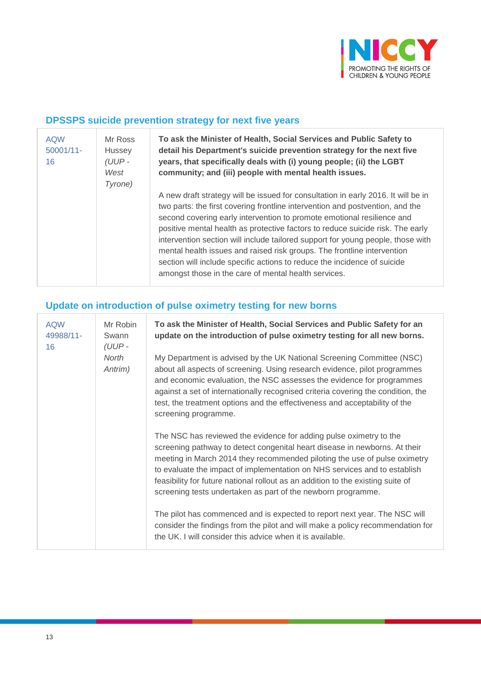

#### **DPSSPS suicide prevention strategy for next five years**

| <b>AQW</b><br>$50001/11$ -<br>16 | Mr Ross<br><b>Hussey</b><br>$(UUP -$<br>West<br>Tyrone) | To ask the Minister of Health, Social Services and Public Safety to<br>detail his Department's suicide prevention strategy for the next five<br>years, that specifically deals with (i) young people; (ii) the LGBT<br>community; and (iii) people with mental health issues.                                                                                                                                                                                                                                                                                                                                                    |
|----------------------------------|---------------------------------------------------------|----------------------------------------------------------------------------------------------------------------------------------------------------------------------------------------------------------------------------------------------------------------------------------------------------------------------------------------------------------------------------------------------------------------------------------------------------------------------------------------------------------------------------------------------------------------------------------------------------------------------------------|
|                                  |                                                         | A new draft strategy will be issued for consultation in early 2016. It will be in<br>two parts: the first covering frontline intervention and postvention, and the<br>second covering early intervention to promote emotional resilience and<br>positive mental health as protective factors to reduce suicide risk. The early<br>intervention section will include tailored support for young people, those with<br>mental health issues and raised risk groups. The frontline intervention<br>section will include specific actions to reduce the incidence of suicide<br>amongst those in the care of mental health services. |

## **Update on introduction of pulse oximetry testing for new borns**

| <b>AQW</b><br>49988/11-<br>16 | Mr Robin<br>Swann<br>(UUP-<br>North<br>Antrim) | To ask the Minister of Health, Social Services and Public Safety for an<br>update on the introduction of pulse oximetry testing for all new borns.                                                                                                                                                                                                                                                                                                            |  |  |  |  |
|-------------------------------|------------------------------------------------|---------------------------------------------------------------------------------------------------------------------------------------------------------------------------------------------------------------------------------------------------------------------------------------------------------------------------------------------------------------------------------------------------------------------------------------------------------------|--|--|--|--|
|                               |                                                | My Department is advised by the UK National Screening Committee (NSC)<br>about all aspects of screening. Using research evidence, pilot programmes<br>and economic evaluation, the NSC assesses the evidence for programmes<br>against a set of internationally recognised criteria covering the condition, the<br>test, the treatment options and the effectiveness and acceptability of the<br>screening programme.                                         |  |  |  |  |
|                               |                                                | The NSC has reviewed the evidence for adding pulse oximetry to the<br>screening pathway to detect congenital heart disease in newborns. At their<br>meeting in March 2014 they recommended piloting the use of pulse oximetry<br>to evaluate the impact of implementation on NHS services and to establish<br>feasibility for future national rollout as an addition to the existing suite of<br>screening tests undertaken as part of the newborn programme. |  |  |  |  |
|                               |                                                | The pilot has commenced and is expected to report next year. The NSC will<br>consider the findings from the pilot and will make a policy recommendation for<br>the UK. I will consider this advice when it is available.                                                                                                                                                                                                                                      |  |  |  |  |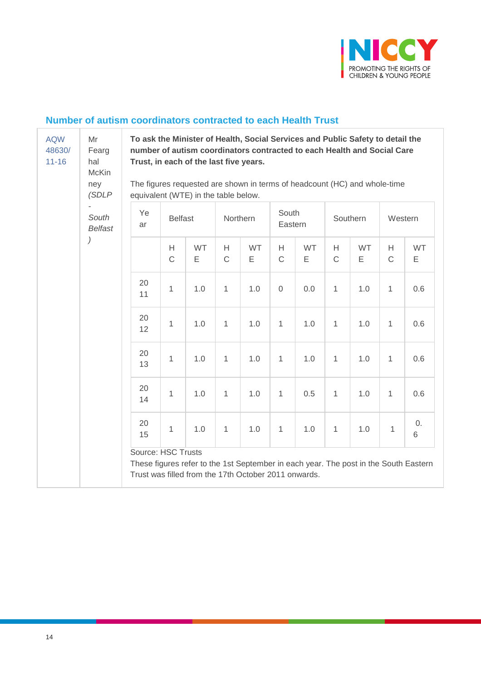

#### **Number of autism coordinators contracted to each Health Trust**

| <b>AQW</b><br>48630/<br>$11 - 16$ | Mr<br>Fearg<br>hal<br><b>McKin</b> | To ask the Minister of Health, Social Services and Public Safety to detail the<br>number of autism coordinators contracted to each Health and Social Care<br>Trust, in each of the last five years. |                   |                                                      |                   |                |                   |                |                  |         |                   |                                                                                      |
|-----------------------------------|------------------------------------|-----------------------------------------------------------------------------------------------------------------------------------------------------------------------------------------------------|-------------------|------------------------------------------------------|-------------------|----------------|-------------------|----------------|------------------|---------|-------------------|--------------------------------------------------------------------------------------|
|                                   | ney<br>(SDLP                       | The figures requested are shown in terms of headcount (HC) and whole-time<br>equivalent (WTE) in the table below.                                                                                   |                   |                                                      |                   |                |                   |                |                  |         |                   |                                                                                      |
| South<br><b>Belfast</b>           |                                    | Ye<br>ar                                                                                                                                                                                            | <b>Belfast</b>    |                                                      | Northern          |                | South<br>Eastern  |                | Southern         |         | Western           |                                                                                      |
|                                   |                                    |                                                                                                                                                                                                     | H<br>$\mathsf{C}$ | <b>WT</b><br>Ε                                       | H<br>$\mathsf{C}$ | <b>WT</b><br>Ε | H<br>$\mathsf{C}$ | <b>WT</b><br>Е | H<br>$\mathsf C$ | WT<br>Ε | H<br>$\mathsf{C}$ | <b>WT</b><br>Ε                                                                       |
|                                   |                                    | 20<br>11                                                                                                                                                                                            | 1                 | 1.0                                                  | 1                 | 1.0            | $\overline{0}$    | 0.0            | $\mathbf{1}$     | 1.0     | 1                 | 0.6                                                                                  |
|                                   |                                    | 20<br>12                                                                                                                                                                                            | 1                 | 1.0                                                  | 1                 | 1.0            | $\mathbf{1}$      | 1.0            | $\mathbf{1}$     | 1.0     | $\mathbf{1}$      | 0.6                                                                                  |
|                                   |                                    | 20<br>13                                                                                                                                                                                            | 1                 | 1.0                                                  | $\mathbf{1}$      | 1.0            | $\mathbf{1}$      | 1.0            | $\mathbf{1}$     | 1.0     | $\mathbf{1}$      | 0.6                                                                                  |
|                                   |                                    | 20<br>14                                                                                                                                                                                            | 1                 | 1.0                                                  | $\mathbf{1}$      | 1.0            | $\mathbf{1}$      | 0.5            | $\mathbf{1}$     | 1.0     | $\mathbf{1}$      | 0.6                                                                                  |
|                                   |                                    | 20<br>15                                                                                                                                                                                            | 1                 | 1.0                                                  | 1                 | 1.0            | 1                 | 1.0            | $\mathbf{1}$     | 1.0     | 1                 | 0.<br>6                                                                              |
|                                   |                                    | Source: HSC Trusts                                                                                                                                                                                  |                   | Trust was filled from the 17th October 2011 onwards. |                   |                |                   |                |                  |         |                   | These figures refer to the 1st September in each year. The post in the South Eastern |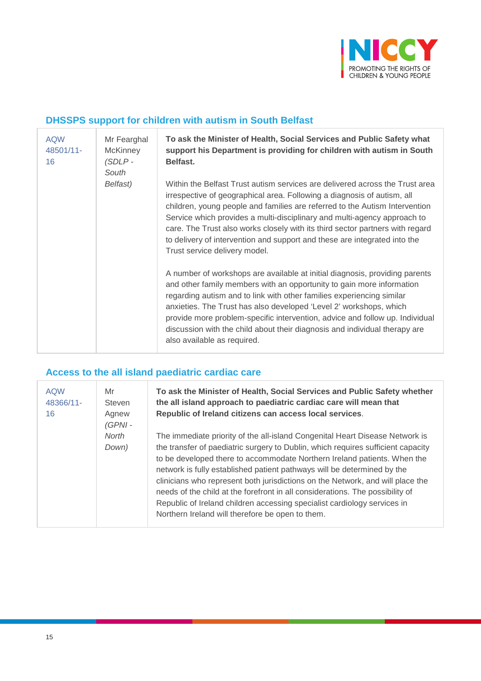

## **DHSSPS support for children with autism in South Belfast**

| <b>AQW</b><br>48501/11-<br>16 | Mr Fearghal<br><b>McKinney</b><br>$(SDLP -$<br>South | To ask the Minister of Health, Social Services and Public Safety what<br>support his Department is providing for children with autism in South<br>Belfast.                                                                                                                                                                                                                                                                                                                                                        |
|-------------------------------|------------------------------------------------------|-------------------------------------------------------------------------------------------------------------------------------------------------------------------------------------------------------------------------------------------------------------------------------------------------------------------------------------------------------------------------------------------------------------------------------------------------------------------------------------------------------------------|
|                               | Belfast)                                             | Within the Belfast Trust autism services are delivered across the Trust area<br>irrespective of geographical area. Following a diagnosis of autism, all<br>children, young people and families are referred to the Autism Intervention<br>Service which provides a multi-disciplinary and multi-agency approach to<br>care. The Trust also works closely with its third sector partners with regard<br>to delivery of intervention and support and these are integrated into the<br>Trust service delivery model. |
|                               |                                                      | A number of workshops are available at initial diagnosis, providing parents<br>and other family members with an opportunity to gain more information<br>regarding autism and to link with other families experiencing similar<br>anxieties. The Trust has also developed 'Level 2' workshops, which<br>provide more problem-specific intervention, advice and follow up. Individual<br>discussion with the child about their diagnosis and individual therapy are<br>also available as required.                  |

## **Access to the all island paediatric cardiac care**

| <b>AQW</b><br>48366/11-<br>16 | Mr<br><b>Steven</b><br>Agnew<br>$(GPNI -$ | To ask the Minister of Health, Social Services and Public Safety whether<br>the all island approach to paediatric cardiac care will mean that<br>Republic of Ireland citizens can access local services.                                                                                                                                                                                                                                                                                                                                                                                                                   |  |  |  |  |  |
|-------------------------------|-------------------------------------------|----------------------------------------------------------------------------------------------------------------------------------------------------------------------------------------------------------------------------------------------------------------------------------------------------------------------------------------------------------------------------------------------------------------------------------------------------------------------------------------------------------------------------------------------------------------------------------------------------------------------------|--|--|--|--|--|
|                               | North<br>Down)                            | The immediate priority of the all-island Congenital Heart Disease Network is<br>the transfer of paediatric surgery to Dublin, which requires sufficient capacity<br>to be developed there to accommodate Northern Ireland patients. When the<br>network is fully established patient pathways will be determined by the<br>clinicians who represent both jurisdictions on the Network, and will place the<br>needs of the child at the forefront in all considerations. The possibility of<br>Republic of Ireland children accessing specialist cardiology services in<br>Northern Ireland will therefore be open to them. |  |  |  |  |  |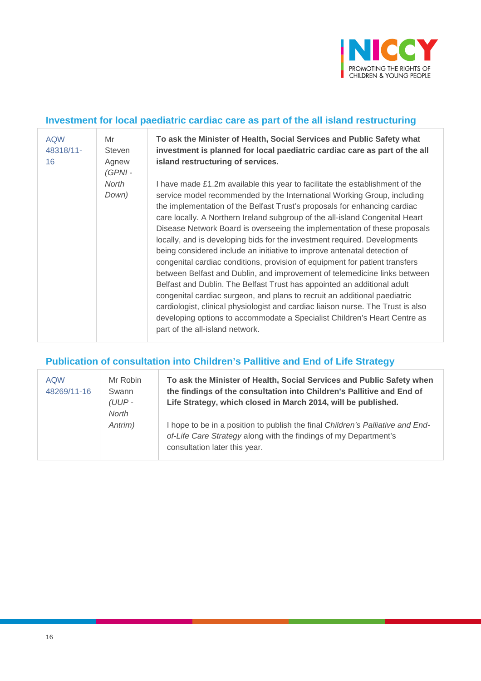

#### **Investment for local paediatric cardiac care as part of the all island restructuring**

| <b>AQW</b><br>48318/11-<br>16 | Mr<br>Steven<br>Agnew<br>$(GPNI -$ | To ask the Minister of Health, Social Services and Public Safety what<br>investment is planned for local paediatric cardiac care as part of the all<br>island restructuring of services.                                                                                                                                                                                                                                                                                                                                                                                                                                                                                                                                                                                                                                                                                                                                                                                                                                                                                           |
|-------------------------------|------------------------------------|------------------------------------------------------------------------------------------------------------------------------------------------------------------------------------------------------------------------------------------------------------------------------------------------------------------------------------------------------------------------------------------------------------------------------------------------------------------------------------------------------------------------------------------------------------------------------------------------------------------------------------------------------------------------------------------------------------------------------------------------------------------------------------------------------------------------------------------------------------------------------------------------------------------------------------------------------------------------------------------------------------------------------------------------------------------------------------|
|                               | North<br>Down)                     | I have made £1.2m available this year to facilitate the establishment of the<br>service model recommended by the International Working Group, including<br>the implementation of the Belfast Trust's proposals for enhancing cardiac<br>care locally. A Northern Ireland subgroup of the all-island Congenital Heart<br>Disease Network Board is overseeing the implementation of these proposals<br>locally, and is developing bids for the investment required. Developments<br>being considered include an initiative to improve antenatal detection of<br>congenital cardiac conditions, provision of equipment for patient transfers<br>between Belfast and Dublin, and improvement of telemedicine links between<br>Belfast and Dublin. The Belfast Trust has appointed an additional adult<br>congenital cardiac surgeon, and plans to recruit an additional paediatric<br>cardiologist, clinical physiologist and cardiac liaison nurse. The Trust is also<br>developing options to accommodate a Specialist Children's Heart Centre as<br>part of the all-island network. |

## **Publication of consultation into Children's Pallitive and End of Life Strategy**

| <b>AQW</b><br>48269/11-16 | Mr Robin<br>Swann<br>$(UUP -$<br>North<br>Antrim) | To ask the Minister of Health, Social Services and Public Safety when<br>the findings of the consultation into Children's Pallitive and End of<br>Life Strategy, which closed in March 2014, will be published. |
|---------------------------|---------------------------------------------------|-----------------------------------------------------------------------------------------------------------------------------------------------------------------------------------------------------------------|
|                           |                                                   | I hope to be in a position to publish the final Children's Palliative and End-<br>of-Life Care Strategy along with the findings of my Department's<br>consultation later this year.                             |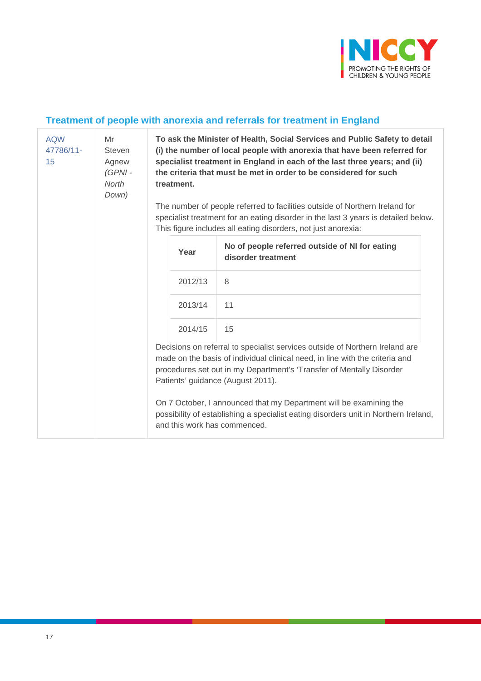

# **Treatment of people with anorexia and referrals for treatment in England**

| <b>AQW</b><br>47786/11-<br>15 | Mr<br><b>Steven</b><br>Agnew<br>(GPNI-<br><b>North</b><br>Down) | To ask the Minister of Health, Social Services and Public Safety to detail<br>(i) the number of local people with anorexia that have been referred for<br>specialist treatment in England in each of the last three years; and (ii)<br>the criteria that must be met in order to be considered for such<br>treatment.<br>The number of people referred to facilities outside of Northern Ireland for<br>specialist treatment for an eating disorder in the last 3 years is detailed below.<br>This figure includes all eating disorders, not just anorexia: |         |                                                                                                                                                                                           |  |  |  |
|-------------------------------|-----------------------------------------------------------------|-------------------------------------------------------------------------------------------------------------------------------------------------------------------------------------------------------------------------------------------------------------------------------------------------------------------------------------------------------------------------------------------------------------------------------------------------------------------------------------------------------------------------------------------------------------|---------|-------------------------------------------------------------------------------------------------------------------------------------------------------------------------------------------|--|--|--|
|                               |                                                                 |                                                                                                                                                                                                                                                                                                                                                                                                                                                                                                                                                             | Year    | No of people referred outside of NI for eating<br>disorder treatment                                                                                                                      |  |  |  |
|                               |                                                                 |                                                                                                                                                                                                                                                                                                                                                                                                                                                                                                                                                             | 2012/13 | 8                                                                                                                                                                                         |  |  |  |
|                               |                                                                 |                                                                                                                                                                                                                                                                                                                                                                                                                                                                                                                                                             | 2013/14 | 11                                                                                                                                                                                        |  |  |  |
|                               |                                                                 |                                                                                                                                                                                                                                                                                                                                                                                                                                                                                                                                                             | 2014/15 | 15                                                                                                                                                                                        |  |  |  |
|                               |                                                                 | Decisions on referral to specialist services outside of Northern Ireland are<br>made on the basis of individual clinical need, in line with the criteria and<br>procedures set out in my Department's 'Transfer of Mentally Disorder<br>Patients' guidance (August 2011).                                                                                                                                                                                                                                                                                   |         |                                                                                                                                                                                           |  |  |  |
|                               |                                                                 |                                                                                                                                                                                                                                                                                                                                                                                                                                                                                                                                                             |         | On 7 October, I announced that my Department will be examining the<br>possibility of establishing a specialist eating disorders unit in Northern Ireland,<br>and this work has commenced. |  |  |  |